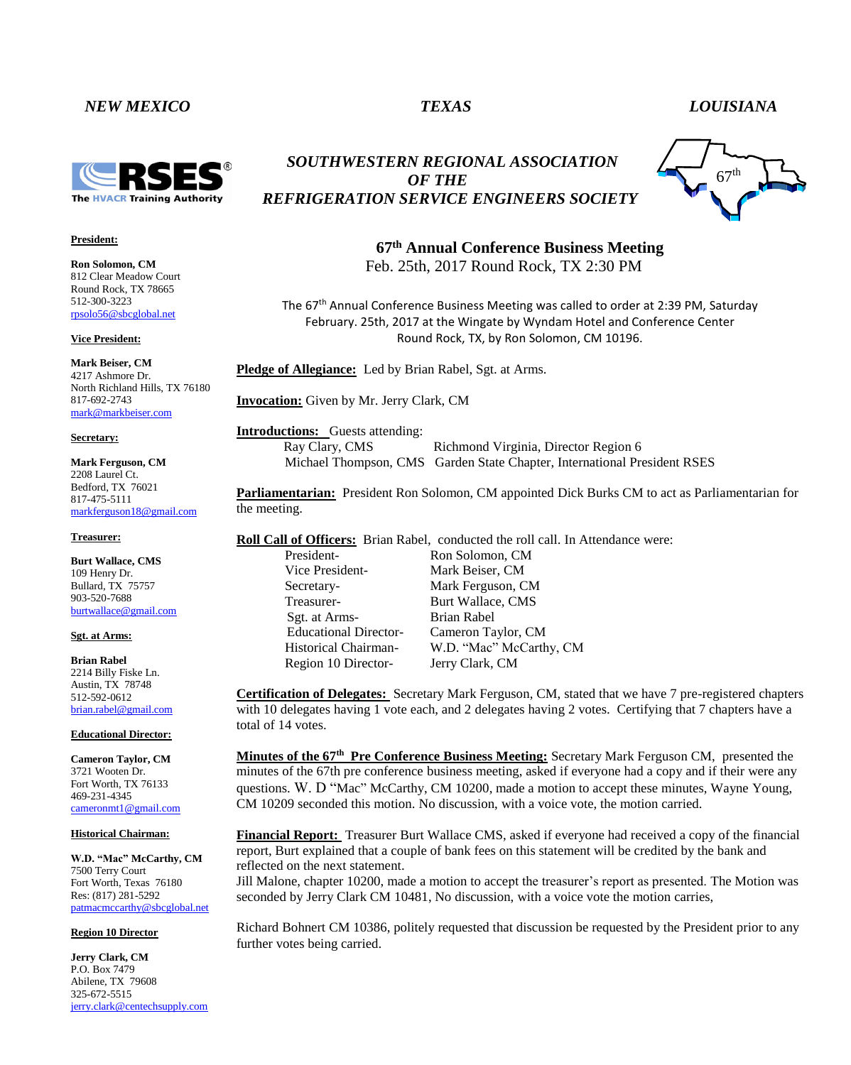## *NEW MEXICO TEXAS LOUISIANA*



### **President:**

**Ron Solomon, CM** 812 Clear Meadow Court Round Rock, TX 78665 512-300-3223 rpsolo56@sbcglobal.net

**Vice President:**

**Mark Beiser, CM** 4217 Ashmore Dr. North Richland Hills, TX 76180 817-692-2743 [mark@markbeiser.com](mailto:mark@markbeiser.com)

#### **Secretary:**

**Mark Ferguson, CM** 2208 Laurel Ct. Bedford, TX 76021 817-475-5111 [markferguson18@gmail.com](mailto:markferguson18@gmail.com)

#### **Treasurer:**

**Burt Wallace, CMS** 109 Henry Dr. Bullard, TX 75757 903-520-7688 [burtwallace@gmail.com](mailto:burtwallace@gmail.com)

#### **Sgt. at Arms:**

**Brian Rabel** 2214 Billy Fiske Ln. Austin, TX 78748 512-592-0612 [brian.rabel@gmail.com](mailto:brian.rabel@gmail.com)

#### **Educational Director:**

**Cameron Taylor, CM** 3721 Wooten Dr. Fort Worth, TX 76133 469-231-4345 cameronmt1@gmail.com

### **Historical Chairman:**

**W.D. "Mac" McCarthy, CM** 7500 Terry Court Fort Worth, Texas 76180 Res: (817) 281-5292 [patmacmccarthy@sbcglobal.net](mailto:patmacmccarthy@sbcglobal.net)

#### **Region 10 Director**

**Jerry Clark, CM** P.O. Box 7479 Abilene, TX 79608 325-672-5515 [jerry.clark@centechsupply.com](mailto:jerry.clark@centechsupply.com)

# *SOUTHWESTERN REGIONAL ASSOCIATION OF THE REFRIGERATION SERVICE ENGINEERS SOCIETY*



**67th Annual Conference Business Meeting**  Feb. 25th, 2017 Round Rock, TX 2:30 PM

The 67<sup>th</sup> Annual Conference Business Meeting was called to order at 2:39 PM, Saturday February. 25th, 2017 at the Wingate by Wyndam Hotel and Conference Center Round Rock, TX, by Ron Solomon, CM 10196.

**Pledge of Allegiance:** Led by Brian Rabel, Sgt. at Arms.

**Invocation:** Given by Mr. Jerry Clark, CM

**Introductions:** Guests attending: Ray Clary, CMS Richmond Virginia, Director Region 6 Michael Thompson, CMS Garden State Chapter, International President RSES

**Parliamentarian:** President Ron Solomon, CM appointed Dick Burks CM to act as Parliamentarian for the meeting.

**Roll Call of Officers:** Brian Rabel, conducted the roll call. In Attendance were:

Vice President- Mark Beiser, CM Sgt. at Arms-<br>Brian Rabel Region 10 Director- Jerry Clark, CM

President-<br>
Ron Solomon, CM Secretary- Mark Ferguson, CM Treasurer-<br>
Burt Wallace, CMS Educational Director- Cameron Taylor, CM Historical Chairman- W.D. "Mac" McCarthy, CM

**Certification of Delegates:** Secretary Mark Ferguson, CM, stated that we have 7 pre-registered chapters with 10 delegates having 1 vote each, and 2 delegates having 2 votes. Certifying that 7 chapters have a total of 14 votes.

Minutes of the 67<sup>th</sup> Pre Conference Business Meeting: Secretary Mark Ferguson CM, presented the minutes of the 67th pre conference business meeting, asked if everyone had a copy and if their were any questions. W. D "Mac" McCarthy, CM 10200, made a motion to accept these minutes, Wayne Young, CM 10209 seconded this motion. No discussion, with a voice vote, the motion carried.

**Financial Report:** Treasurer Burt Wallace CMS, asked if everyone had received a copy of the financial report, Burt explained that a couple of bank fees on this statement will be credited by the bank and reflected on the next statement.

Jill Malone, chapter 10200, made a motion to accept the treasurer's report as presented. The Motion was seconded by Jerry Clark CM 10481, No discussion, with a voice vote the motion carries,

Richard Bohnert CM 10386, politely requested that discussion be requested by the President prior to any further votes being carried.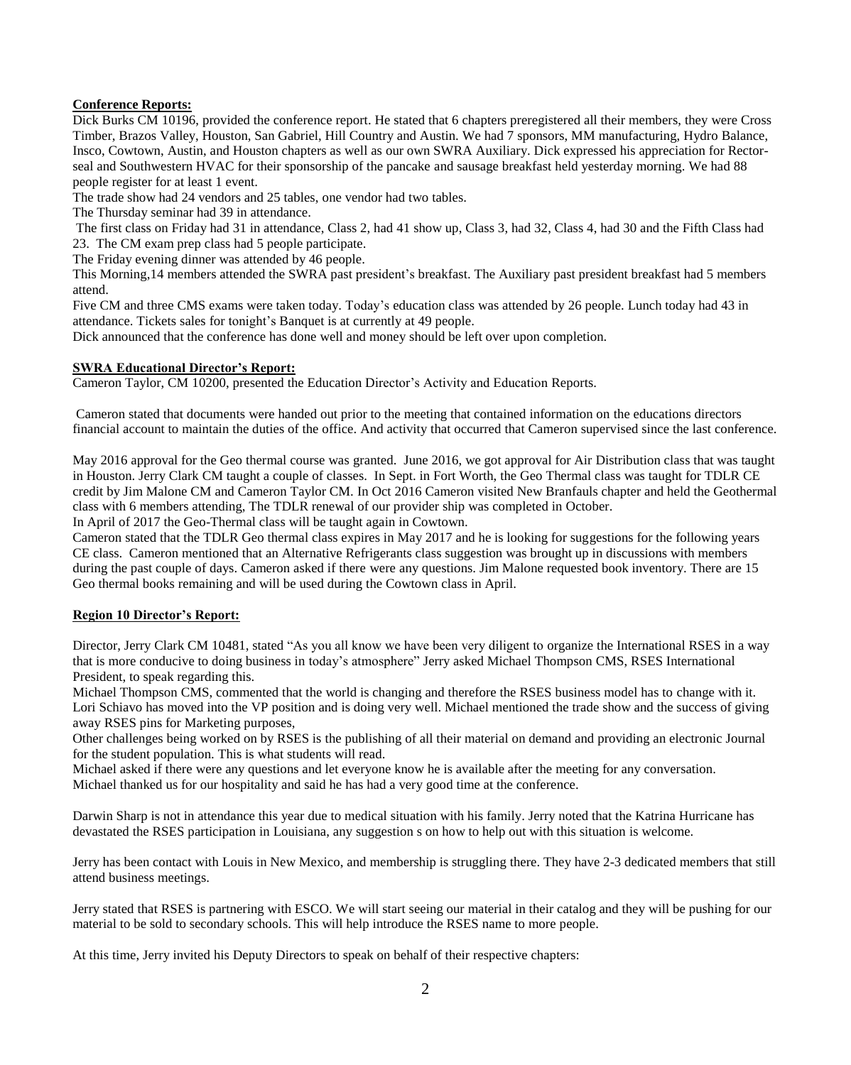## **Conference Reports:**

Dick Burks CM 10196, provided the conference report. He stated that 6 chapters preregistered all their members, they were Cross Timber, Brazos Valley, Houston, San Gabriel, Hill Country and Austin. We had 7 sponsors, MM manufacturing, Hydro Balance, Insco, Cowtown, Austin, and Houston chapters as well as our own SWRA Auxiliary. Dick expressed his appreciation for Rectorseal and Southwestern HVAC for their sponsorship of the pancake and sausage breakfast held yesterday morning. We had 88 people register for at least 1 event.

The trade show had 24 vendors and 25 tables, one vendor had two tables.

The Thursday seminar had 39 in attendance.

The first class on Friday had 31 in attendance, Class 2, had 41 show up, Class 3, had 32, Class 4, had 30 and the Fifth Class had 23. The CM exam prep class had 5 people participate.

The Friday evening dinner was attended by 46 people.

This Morning,14 members attended the SWRA past president's breakfast. The Auxiliary past president breakfast had 5 members attend.

Five CM and three CMS exams were taken today. Today's education class was attended by 26 people. Lunch today had 43 in attendance. Tickets sales for tonight's Banquet is at currently at 49 people.

Dick announced that the conference has done well and money should be left over upon completion.

## **SWRA Educational Director's Report:**

Cameron Taylor, CM 10200, presented the Education Director's Activity and Education Reports.

Cameron stated that documents were handed out prior to the meeting that contained information on the educations directors financial account to maintain the duties of the office. And activity that occurred that Cameron supervised since the last conference.

May 2016 approval for the Geo thermal course was granted. June 2016, we got approval for Air Distribution class that was taught in Houston. Jerry Clark CM taught a couple of classes. In Sept. in Fort Worth, the Geo Thermal class was taught for TDLR CE credit by Jim Malone CM and Cameron Taylor CM. In Oct 2016 Cameron visited New Branfauls chapter and held the Geothermal class with 6 members attending, The TDLR renewal of our provider ship was completed in October.

In April of 2017 the Geo-Thermal class will be taught again in Cowtown.

Cameron stated that the TDLR Geo thermal class expires in May 2017 and he is looking for suggestions for the following years CE class. Cameron mentioned that an Alternative Refrigerants class suggestion was brought up in discussions with members during the past couple of days. Cameron asked if there were any questions. Jim Malone requested book inventory. There are 15 Geo thermal books remaining and will be used during the Cowtown class in April.

## **Region 10 Director's Report:**

Director, Jerry Clark CM 10481, stated "As you all know we have been very diligent to organize the International RSES in a way that is more conducive to doing business in today's atmosphere" Jerry asked Michael Thompson CMS, RSES International President, to speak regarding this.

Michael Thompson CMS, commented that the world is changing and therefore the RSES business model has to change with it. Lori Schiavo has moved into the VP position and is doing very well. Michael mentioned the trade show and the success of giving away RSES pins for Marketing purposes,

Other challenges being worked on by RSES is the publishing of all their material on demand and providing an electronic Journal for the student population. This is what students will read.

Michael asked if there were any questions and let everyone know he is available after the meeting for any conversation. Michael thanked us for our hospitality and said he has had a very good time at the conference.

Darwin Sharp is not in attendance this year due to medical situation with his family. Jerry noted that the Katrina Hurricane has devastated the RSES participation in Louisiana, any suggestion s on how to help out with this situation is welcome.

Jerry has been contact with Louis in New Mexico, and membership is struggling there. They have 2-3 dedicated members that still attend business meetings.

Jerry stated that RSES is partnering with ESCO. We will start seeing our material in their catalog and they will be pushing for our material to be sold to secondary schools. This will help introduce the RSES name to more people.

At this time, Jerry invited his Deputy Directors to speak on behalf of their respective chapters: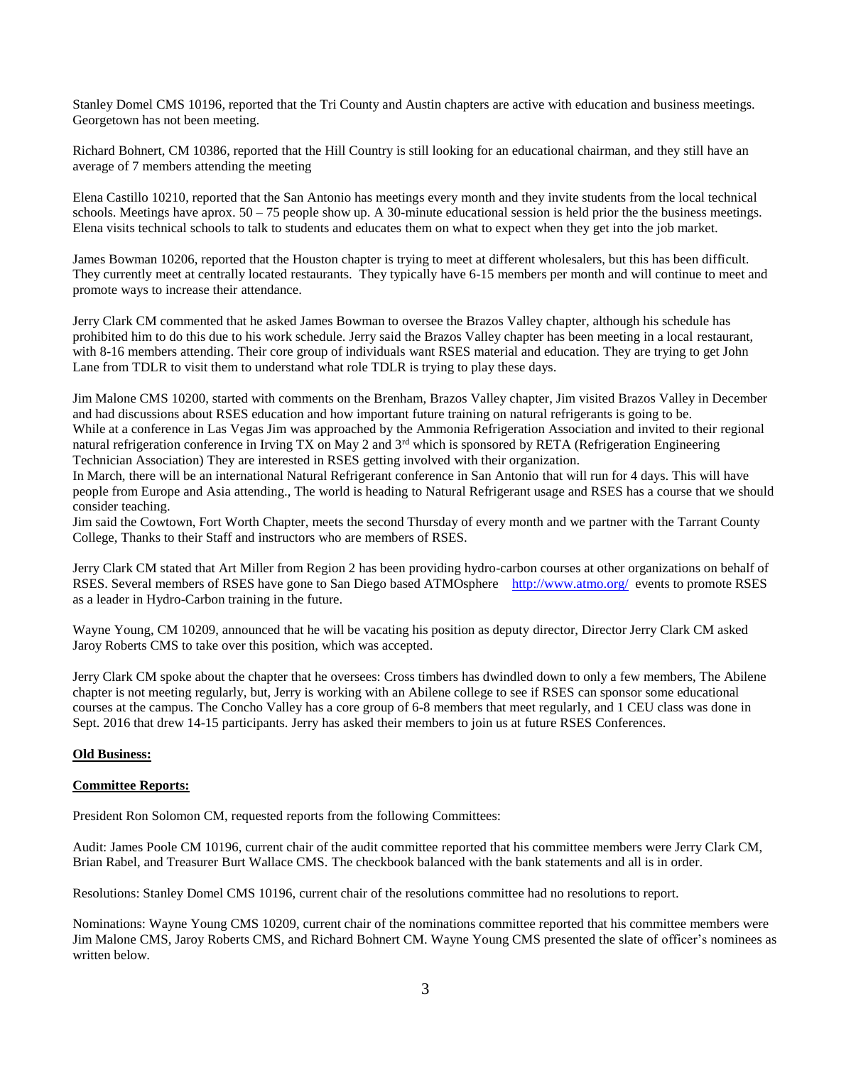Stanley Domel CMS 10196, reported that the Tri County and Austin chapters are active with education and business meetings. Georgetown has not been meeting.

Richard Bohnert, CM 10386, reported that the Hill Country is still looking for an educational chairman, and they still have an average of 7 members attending the meeting

Elena Castillo 10210, reported that the San Antonio has meetings every month and they invite students from the local technical schools. Meetings have aprox.  $50 - 75$  people show up. A 30-minute educational session is held prior the the business meetings. Elena visits technical schools to talk to students and educates them on what to expect when they get into the job market.

James Bowman 10206, reported that the Houston chapter is trying to meet at different wholesalers, but this has been difficult. They currently meet at centrally located restaurants. They typically have 6-15 members per month and will continue to meet and promote ways to increase their attendance.

Jerry Clark CM commented that he asked James Bowman to oversee the Brazos Valley chapter, although his schedule has prohibited him to do this due to his work schedule. Jerry said the Brazos Valley chapter has been meeting in a local restaurant, with 8-16 members attending. Their core group of individuals want RSES material and education. They are trying to get John Lane from TDLR to visit them to understand what role TDLR is trying to play these days.

Jim Malone CMS 10200, started with comments on the Brenham, Brazos Valley chapter, Jim visited Brazos Valley in December and had discussions about RSES education and how important future training on natural refrigerants is going to be. While at a conference in Las Vegas Jim was approached by the Ammonia Refrigeration Association and invited to their regional natural refrigeration conference in Irving TX on May 2 and 3<sup>rd</sup> which is sponsored by RETA (Refrigeration Engineering Technician Association) They are interested in RSES getting involved with their organization.

In March, there will be an international Natural Refrigerant conference in San Antonio that will run for 4 days. This will have people from Europe and Asia attending., The world is heading to Natural Refrigerant usage and RSES has a course that we should consider teaching.

Jim said the Cowtown, Fort Worth Chapter, meets the second Thursday of every month and we partner with the Tarrant County College, Thanks to their Staff and instructors who are members of RSES.

Jerry Clark CM stated that Art Miller from Region 2 has been providing hydro-carbon courses at other organizations on behalf of RSES. Several members of RSES have gone to San Diego based ATMOsphere <http://www.atmo.org/>events to promote RSES as a leader in Hydro-Carbon training in the future.

Wayne Young, CM 10209, announced that he will be vacating his position as deputy director, Director Jerry Clark CM asked Jaroy Roberts CMS to take over this position, which was accepted.

Jerry Clark CM spoke about the chapter that he oversees: Cross timbers has dwindled down to only a few members, The Abilene chapter is not meeting regularly, but, Jerry is working with an Abilene college to see if RSES can sponsor some educational courses at the campus. The Concho Valley has a core group of 6-8 members that meet regularly, and 1 CEU class was done in Sept. 2016 that drew 14-15 participants. Jerry has asked their members to join us at future RSES Conferences.

## **Old Business:**

## **Committee Reports:**

President Ron Solomon CM, requested reports from the following Committees:

Audit: James Poole CM 10196, current chair of the audit committee reported that his committee members were Jerry Clark CM, Brian Rabel, and Treasurer Burt Wallace CMS. The checkbook balanced with the bank statements and all is in order.

Resolutions: Stanley Domel CMS 10196, current chair of the resolutions committee had no resolutions to report.

Nominations: Wayne Young CMS 10209, current chair of the nominations committee reported that his committee members were Jim Malone CMS, Jaroy Roberts CMS, and Richard Bohnert CM. Wayne Young CMS presented the slate of officer's nominees as written below.